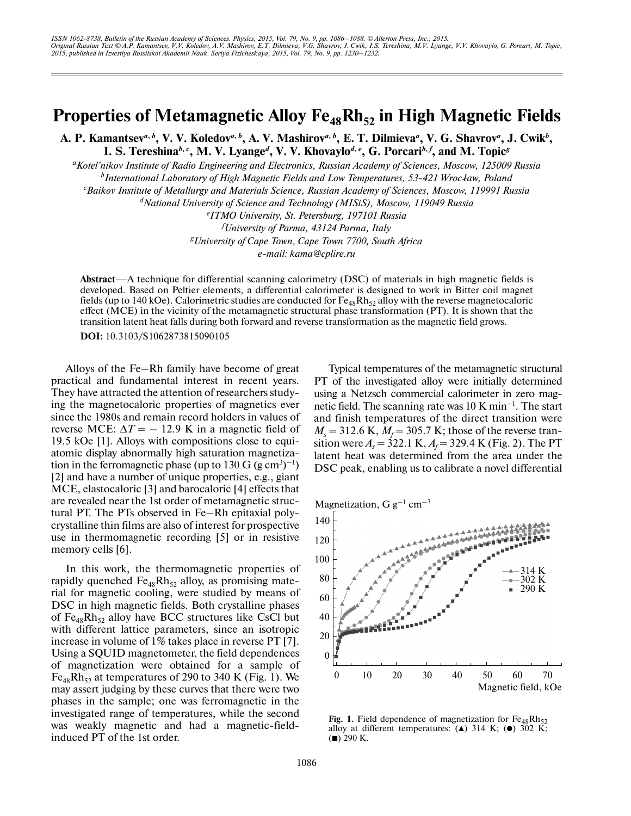## **Properties of Metamagnetic Alloy Fe<sub>48</sub>Rh<sub>52</sub> in High Magnetic Fields**

A. P. Kamantsev<sup>a, b</sup>, V. V. Koledov<sup>a, b</sup>, A. V. Mashirov<sup>a, b</sup>, E. T. Dilmieva<sup>a</sup>, V. G. Shavrov<sup>a</sup>, J. Cwik<sup>b</sup>, **I. S. Tereshina***<sup>b</sup>***,** *<sup>c</sup>* **, M. V. Lyange***<sup>d</sup>* **, V. V. Khovaylo***<sup>d</sup>***,** *<sup>e</sup>* **, G. Porcari***<sup>b</sup>***,** *<sup>f</sup>* **, and M. Topic***<sup>g</sup>*

*a Kotel'nikov Institute of Radio Engineering and Electronics, Russian Academy of Sciences, Moscow, 125009 Russia* <sup>*b*</sup> International Laboratory of High Magnetic Fields and Low Temperatures, 53-421 Wrocław, Poland *c Baikov Institute of Metallurgy and Materials Science, Russian Academy of Sciences, Moscow, 119991 Russia*

*d National University of Science and Technology (MISiS), Moscow, 119049 Russia*

*e ITMO University, St. Petersburg, 197101 Russia f University of Parma, 43124 Parma, Italy g University of Cape Town, Cape Town 7700, South Africa e-mail: kama@cplire.ru*

**Abstract**—A technique for differential scanning calorimetry (DSC) of materials in high magnetic fields is developed. Based on Peltier elements, a differential calorimeter is designed to work in Bitter coil magnet fields (up to 140 kOe). Calorimetric studies are conducted for  $Fe_{48}Rh_{52}$  alloy with the reverse magnetocaloric effect (MCE) in the vicinity of the metamagnetic structural phase transformation (PT). It is shown that the transition latent heat falls during both forward and reverse transformation as the magnetic field grows.

**DOI:** 10.3103/S1062873815090105

Alloys of the Fe–Rh family have become of great practical and fundamental interest in recent years. They have attracted the attention of researchers study ing the magnetocaloric properties of magnetics ever since the 1980s and remain record holders in values of reverse MCE:  $\Delta T = -12.9$  K in a magnetic field of 19.5 kOe [1]. Alloys with compositions close to equi atomic display abnormally high saturation magnetiza tion in the ferromagnetic phase (up to  $130$  G (g cm<sup>3</sup>)<sup>-1</sup>) [2] and have a number of unique properties, e.g., giant MCE, elastocaloric [3] and barocaloric [4] effects that are revealed near the 1st order of metamagnetic struc tural PT. The PTs observed in Fe–Rh epitaxial poly crystalline thin films are also of interest for prospective use in thermomagnetic recording [5] or in resistive memory cells [6].

In this work, the thermomagnetic properties of rapidly quenched  $Fe_{48}Rh_{52}$  alloy, as promising material for magnetic cooling, were studied by means of DSC in high magnetic fields. Both crystalline phases of  $Fe_{48}Rh_{52}$  alloy have BCC structures like CsCl but with different lattice parameters, since an isotropic increase in volume of 1% takes place in reverse PT [7]. Using a SQUID magnetometer, the field dependences of magnetization were obtained for a sample of  $Fe_{48}Rh_{52}$  at temperatures of 290 to 340 K (Fig. 1). We may assert judging by these curves that there were two phases in the sample; one was ferromagnetic in the investigated range of temperatures, while the second was weakly magnetic and had a magnetic-field induced PT of the 1st order.

Typical temperatures of the metamagnetic structural PT of the investigated alloy were initially determined using a Netzsch commercial calorimeter in zero mag netic field. The scanning rate was  $10 \text{ K min}^{-1}$ . The start and finish temperatures of the direct transition were  $M_s$  = 312.6 K,  $M_f$  = 305.7 K; those of the reverse transition were  $A_s = 322.1 \text{ K}$ ,  $A_f = 329.4 \text{ K}$  (Fig. 2). The PT latent heat was determined from the area under the DSC peak, enabling us to calibrate a novel differential



**Fig. 1.** Field dependence of magnetization for  $Fe_{48}Rh_{52}$  alloy at different temperatures: (A) 314 K; ( $\bullet$ ) 302 K;  $($  $\blacksquare)$  290 K.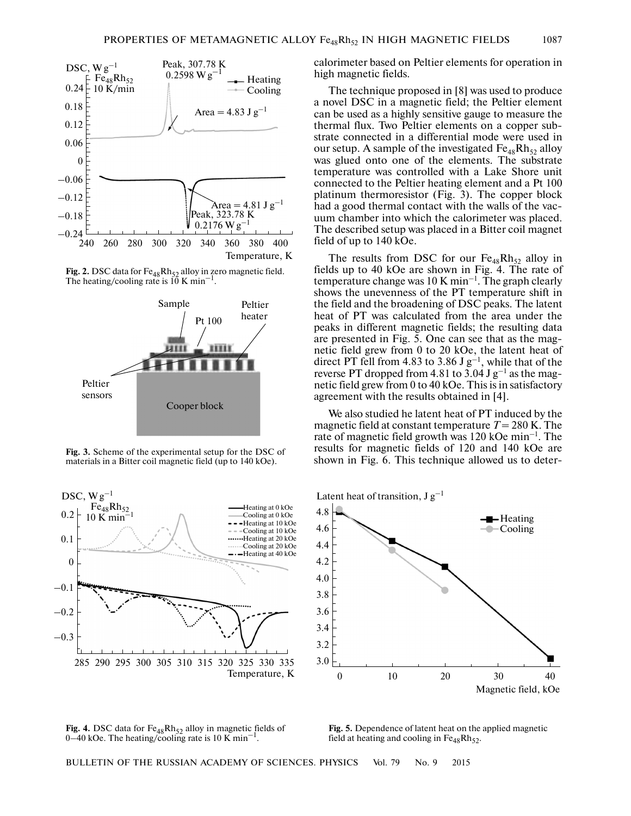





**Fig. 3.** Scheme of the experimental setup for the DSC of materials in a Bitter coil magnetic field (up to 140 kOe).



calorimeter based on Peltier elements for operation in high magnetic fields.

The technique proposed in [8] was used to produce a novel DSC in a magnetic field; the Peltier element can be used as a highly sensitive gauge to measure the thermal flux. Two Peltier elements on a copper sub strate connected in a differential mode were used in our setup. A sample of the investigated  $Fe_{48}Rh_{52}$  alloy was glued onto one of the elements. The substrate temperature was controlled with a Lake Shore unit connected to the Peltier heating element and a Pt 100 platinum thermoresistor (Fig. 3). The copper block had a good thermal contact with the walls of the vac uum chamber into which the calorimeter was placed. The described setup was placed in a Bitter coil magnet field of up to 140 kOe.

The results from DSC for our  $Fe_{48}Rh_{52}$  alloy in fields up to 40 kOe are shown in Fig. 4. The rate of temperature change was  $10 \text{ K min}^{-1}$ . The graph clearly shows the unevenness of the PT temperature shift in the field and the broadening of DSC peaks. The latent heat of PT was calculated from the area under the peaks in different magnetic fields; the resulting data are presented in Fig. 5. One can see that as the mag netic field grew from 0 to 20 kOe, the latent heat of direct PT fell from 4.83 to 3.86 J  $g^{-1}$ , while that of the reverse PT dropped from 4.81 to  $3.04$  J g<sup>-1</sup> as the magnetic field grew from 0 to 40 kOe. This is in satisfactory agreement with the results obtained in [4].

We also studied he latent heat of PT induced by the magnetic field at constant temperature  $T = 280$  K. The rate of magnetic field growth was  $120 \text{ kOe min}^{-1}$ . The results for magnetic fields of 120 and 140 kOe are shown in Fig. 6. This technique allowed us to deter-



Fig. 4. DSC data for Fe<sub>48</sub>Rh<sub>52</sub> alloy in magnetic fields of  $0-40$  kOe. The heating/cooling rate is 10 K min<sup>-1</sup>

**Fig. 5.** Dependence of latent heat on the applied magnetic field at heating and cooling in  $Fe_{48}Rh_{52}$ .

BULLETIN OF THE RUSSIAN ACADEMY OF SCIENCES. PHYSICS Vol. 79 No. 9 2015